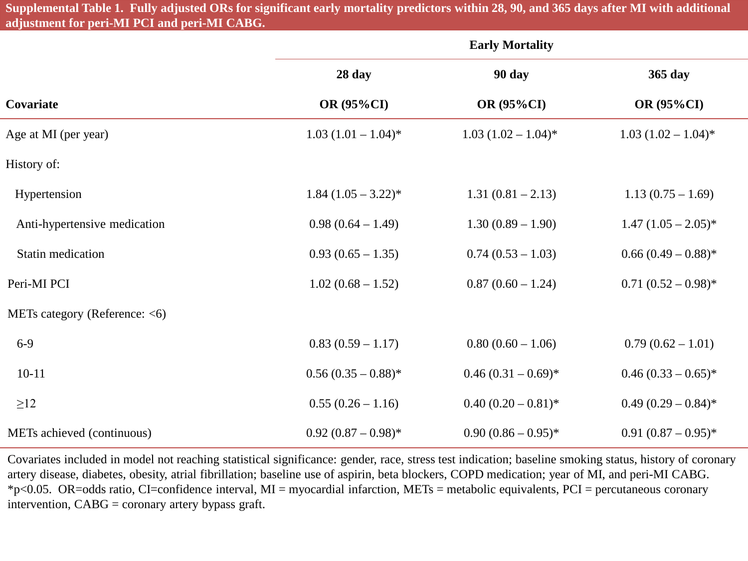**Supplemental Table 1. Fully adjusted ORs for significant early mortality predictors within 28, 90, and 365 days after MI with additional adjustment for peri-MI PCI and peri-MI CABG.**

|                                  | <b>Early Mortality</b> |                        |                        |
|----------------------------------|------------------------|------------------------|------------------------|
|                                  | 28 day                 | <b>90 day</b>          | 365 day                |
| Covariate                        | <b>OR (95%CI)</b>      | <b>OR (95%CI)</b>      | <b>OR (95%CI)</b>      |
| Age at MI (per year)             | $1.03 (1.01 - 1.04)^*$ | $1.03 (1.02 - 1.04)^*$ | $1.03 (1.02 - 1.04)^*$ |
| History of:                      |                        |                        |                        |
| Hypertension                     | $1.84 (1.05 - 3.22)^*$ | $1.31(0.81 - 2.13)$    | $1.13(0.75-1.69)$      |
| Anti-hypertensive medication     | $0.98(0.64 - 1.49)$    | $1.30(0.89 - 1.90)$    | $1.47 (1.05 - 2.05)^*$ |
| Statin medication                | $0.93(0.65-1.35)$      | $0.74(0.53-1.03)$      | $0.66 (0.49 - 0.88)^*$ |
| Peri-MI PCI                      | $1.02(0.68 - 1.52)$    | $0.87(0.60 - 1.24)$    | $0.71(0.52-0.98)$ *    |
| METs category (Reference: $<$ 6) |                        |                        |                        |
| $6-9$                            | $0.83(0.59 - 1.17)$    | $0.80(0.60 - 1.06)$    | $0.79(0.62 - 1.01)$    |
| $10 - 11$                        | $0.56(0.35-0.88)$ *    | $0.46(0.31-0.69)$ *    | $0.46 (0.33 - 0.65)^*$ |
| $\geq$ 12                        | $0.55(0.26-1.16)$      | $0.40(0.20-0.81)$ *    | $0.49(0.29-0.84)$ *    |
| METs achieved (continuous)       | $0.92(0.87-0.98)$ *    | $0.90(0.86-0.95)^*$    | $0.91(0.87-0.95)^*$    |

Covariates included in model not reaching statistical significance: gender, race, stress test indication; baseline smoking status, history of coronary artery disease, diabetes, obesity, atrial fibrillation; baseline use of aspirin, beta blockers, COPD medication; year of MI, and peri-MI CABG. \*p<0.05. OR=odds ratio, CI=confidence interval, MI = myocardial infarction, METs = metabolic equivalents, PCI = percutaneous coronary intervention, CABG = coronary artery bypass graft.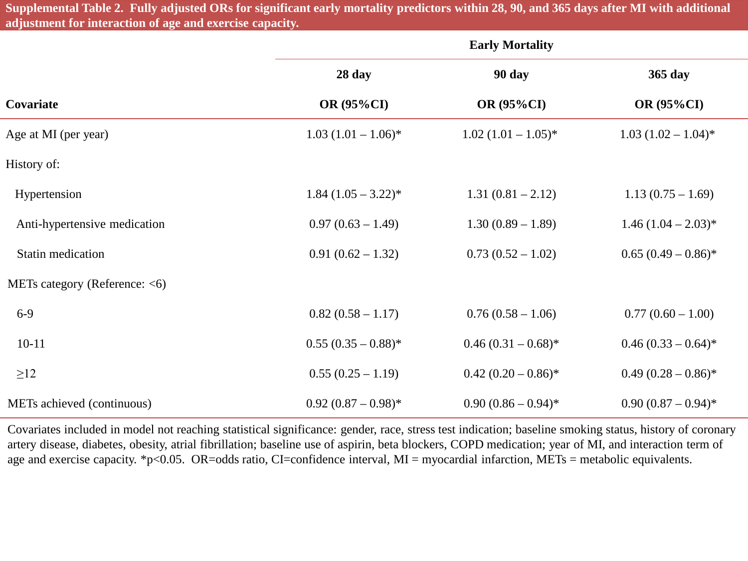**Supplemental Table 2. Fully adjusted ORs for significant early mortality predictors within 28, 90, and 365 days after MI with additional adjustment for interaction of age and exercise capacity.**

|                                  | <b>Early Mortality</b> |                        |                        |
|----------------------------------|------------------------|------------------------|------------------------|
|                                  | 28 day                 | 90 day                 | 365 day                |
| Covariate                        | <b>OR (95%CI)</b>      | <b>OR (95%CI)</b>      | <b>OR (95%CI)</b>      |
| Age at MI (per year)             | $1.03 (1.01 - 1.06)^*$ | $1.02 (1.01 - 1.05)^*$ | $1.03 (1.02 - 1.04)^*$ |
| History of:                      |                        |                        |                        |
| Hypertension                     | $1.84 (1.05 - 3.22)^*$ | $1.31(0.81 - 2.12)$    | $1.13(0.75-1.69)$      |
| Anti-hypertensive medication     | $0.97(0.63 - 1.49)$    | $1.30(0.89 - 1.89)$    | $1.46 (1.04 - 2.03)^*$ |
| <b>Statin medication</b>         | $0.91(0.62 - 1.32)$    | $0.73(0.52 - 1.02)$    | $0.65 (0.49 - 0.86)^*$ |
| METs category (Reference: $<$ 6) |                        |                        |                        |
| $6-9$                            | $0.82(0.58 - 1.17)$    | $0.76(0.58 - 1.06)$    | $0.77(0.60 - 1.00)$    |
| $10 - 11$                        | $0.55(0.35-0.88)$ *    | $0.46(0.31-0.68)$ *    | $0.46 (0.33 - 0.64)^*$ |
| $\geq$ 12                        | $0.55(0.25-1.19)$      | $0.42 (0.20 - 0.86)^*$ | $0.49(0.28-0.86)$ *    |
| METs achieved (continuous)       | $0.92(0.87-0.98)*$     | $0.90(0.86-0.94)$ *    | $0.90(0.87-0.94)$ *    |

Covariates included in model not reaching statistical significance: gender, race, stress test indication; baseline smoking status, history of coronary artery disease, diabetes, obesity, atrial fibrillation; baseline use of aspirin, beta blockers, COPD medication; year of MI, and interaction term of age and exercise capacity. \*p<0.05. OR=odds ratio, CI=confidence interval, MI = myocardial infarction, METs = metabolic equivalents.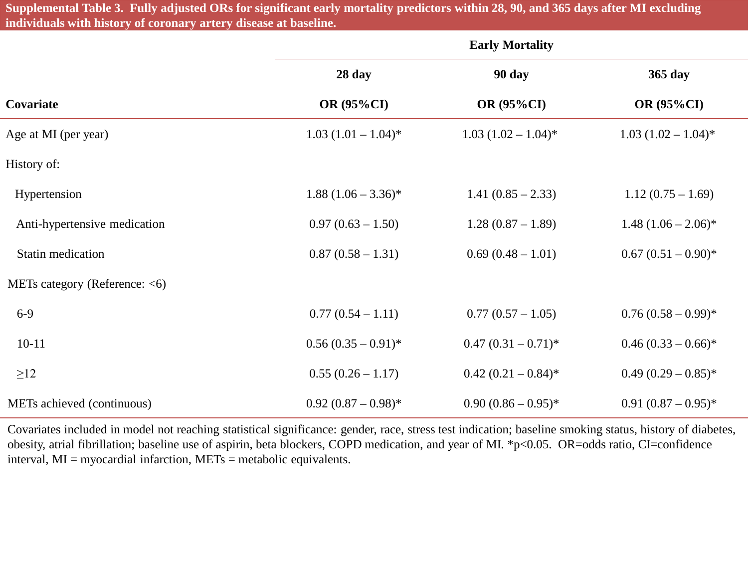**Supplemental Table 3. Fully adjusted ORs for significant early mortality predictors within 28, 90, and 365 days after MI excluding individuals with history of coronary artery disease at baseline.**

|                                  | <b>Early Mortality</b> |                        |                        |
|----------------------------------|------------------------|------------------------|------------------------|
|                                  | 28 day                 | 90 day                 | 365 day                |
| Covariate                        | <b>OR (95%CI)</b>      | <b>OR (95%CI)</b>      | <b>OR (95%CI)</b>      |
| Age at MI (per year)             | $1.03 (1.01 - 1.04)^*$ | $1.03 (1.02 - 1.04)^*$ | $1.03 (1.02 - 1.04)^*$ |
| History of:                      |                        |                        |                        |
| Hypertension                     | $1.88 (1.06 - 3.36)^*$ | $1.41(0.85 - 2.33)$    | $1.12(0.75-1.69)$      |
| Anti-hypertensive medication     | $0.97(0.63 - 1.50)$    | $1.28(0.87-1.89)$      | $1.48 (1.06 - 2.06)^*$ |
| Statin medication                | $0.87(0.58 - 1.31)$    | $0.69(0.48-1.01)$      | $0.67 (0.51 - 0.90)^*$ |
| METs category (Reference: $<$ 6) |                        |                        |                        |
| $6-9$                            | $0.77(0.54 - 1.11)$    | $0.77(0.57-1.05)$      | $0.76(0.58-0.99)*$     |
| $10 - 11$                        | $0.56(0.35-0.91)^{*}$  | $0.47(0.31-0.71)$ *    | $0.46 (0.33 - 0.66)^*$ |
| $\geq$ 12                        | $0.55(0.26-1.17)$      | $0.42(0.21-0.84)$ *    | $0.49(0.29-0.85)^*$    |
| METs achieved (continuous)       | $0.92(0.87-0.98)$ *    | $0.90(0.86-0.95)^*$    | $0.91(0.87-0.95)^*$    |

Covariates included in model not reaching statistical significance: gender, race, stress test indication; baseline smoking status, history of diabetes, obesity, atrial fibrillation; baseline use of aspirin, beta blockers, COPD medication, and year of MI. \*p<0.05. OR=odds ratio, CI=confidence interval, MI = myocardial infarction, METs = metabolic equivalents.